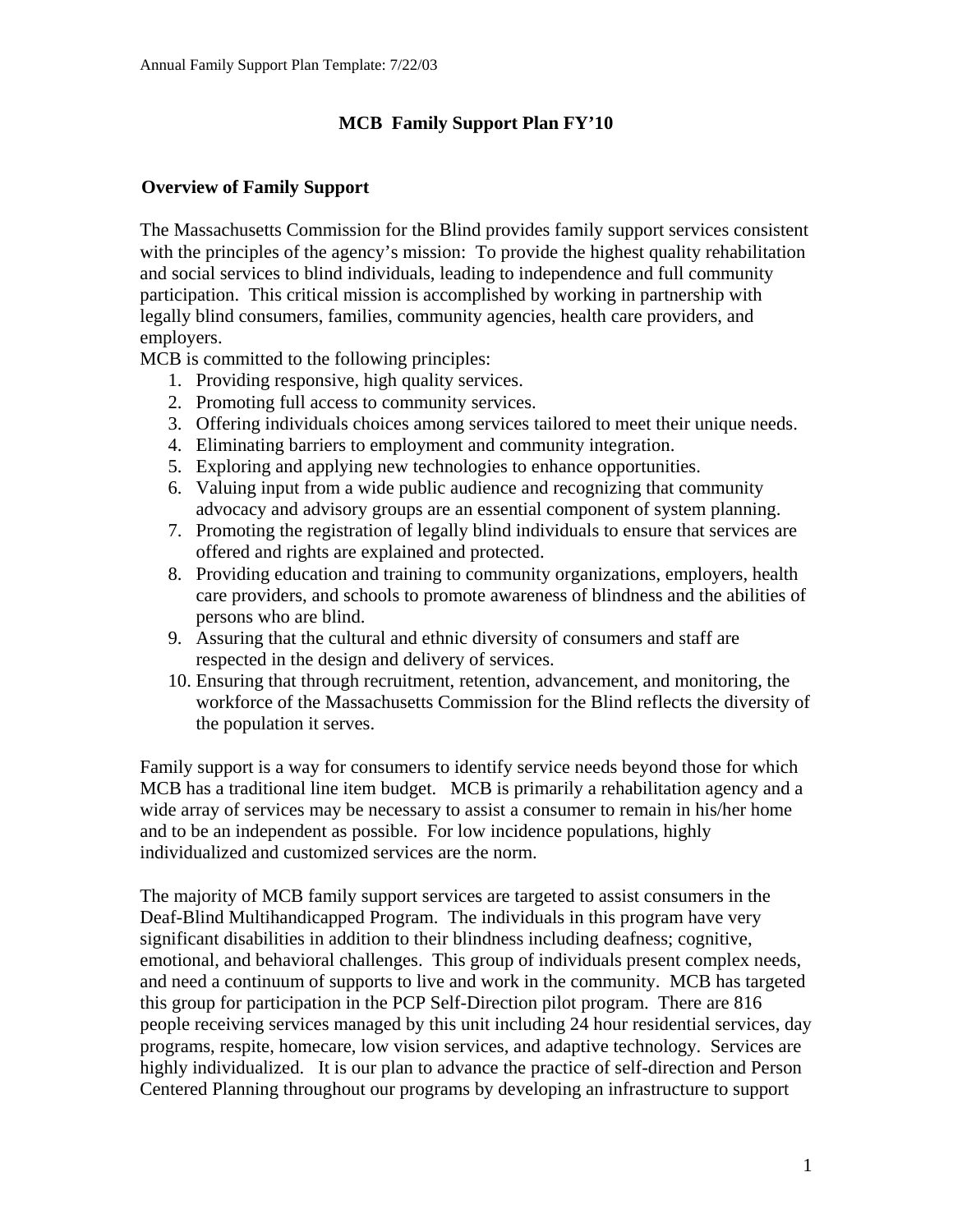### **MCB Family Support Plan FY'10**

#### **Overview of Family Support**

The Massachusetts Commission for the Blind provides family support services consistent with the principles of the agency's mission: To provide the highest quality rehabilitation and social services to blind individuals, leading to independence and full community participation. This critical mission is accomplished by working in partnership with legally blind consumers, families, community agencies, health care providers, and employers.

MCB is committed to the following principles:

- 1. Providing responsive, high quality services.
- 2. Promoting full access to community services.
- 3. Offering individuals choices among services tailored to meet their unique needs.
- 4. Eliminating barriers to employment and community integration.
- 5. Exploring and applying new technologies to enhance opportunities.
- 6. Valuing input from a wide public audience and recognizing that community advocacy and advisory groups are an essential component of system planning.
- 7. Promoting the registration of legally blind individuals to ensure that services are offered and rights are explained and protected.
- 8. Providing education and training to community organizations, employers, health care providers, and schools to promote awareness of blindness and the abilities of persons who are blind.
- 9. Assuring that the cultural and ethnic diversity of consumers and staff are respected in the design and delivery of services.
- 10. Ensuring that through recruitment, retention, advancement, and monitoring, the workforce of the Massachusetts Commission for the Blind reflects the diversity of the population it serves.

Family support is a way for consumers to identify service needs beyond those for which MCB has a traditional line item budget. MCB is primarily a rehabilitation agency and a wide array of services may be necessary to assist a consumer to remain in his/her home and to be an independent as possible. For low incidence populations, highly individualized and customized services are the norm.

The majority of MCB family support services are targeted to assist consumers in the Deaf-Blind Multihandicapped Program. The individuals in this program have very significant disabilities in addition to their blindness including deafness; cognitive, emotional, and behavioral challenges. This group of individuals present complex needs, and need a continuum of supports to live and work in the community. MCB has targeted this group for participation in the PCP Self-Direction pilot program. There are 816 people receiving services managed by this unit including 24 hour residential services, day programs, respite, homecare, low vision services, and adaptive technology. Services are highly individualized. It is our plan to advance the practice of self-direction and Person Centered Planning throughout our programs by developing an infrastructure to support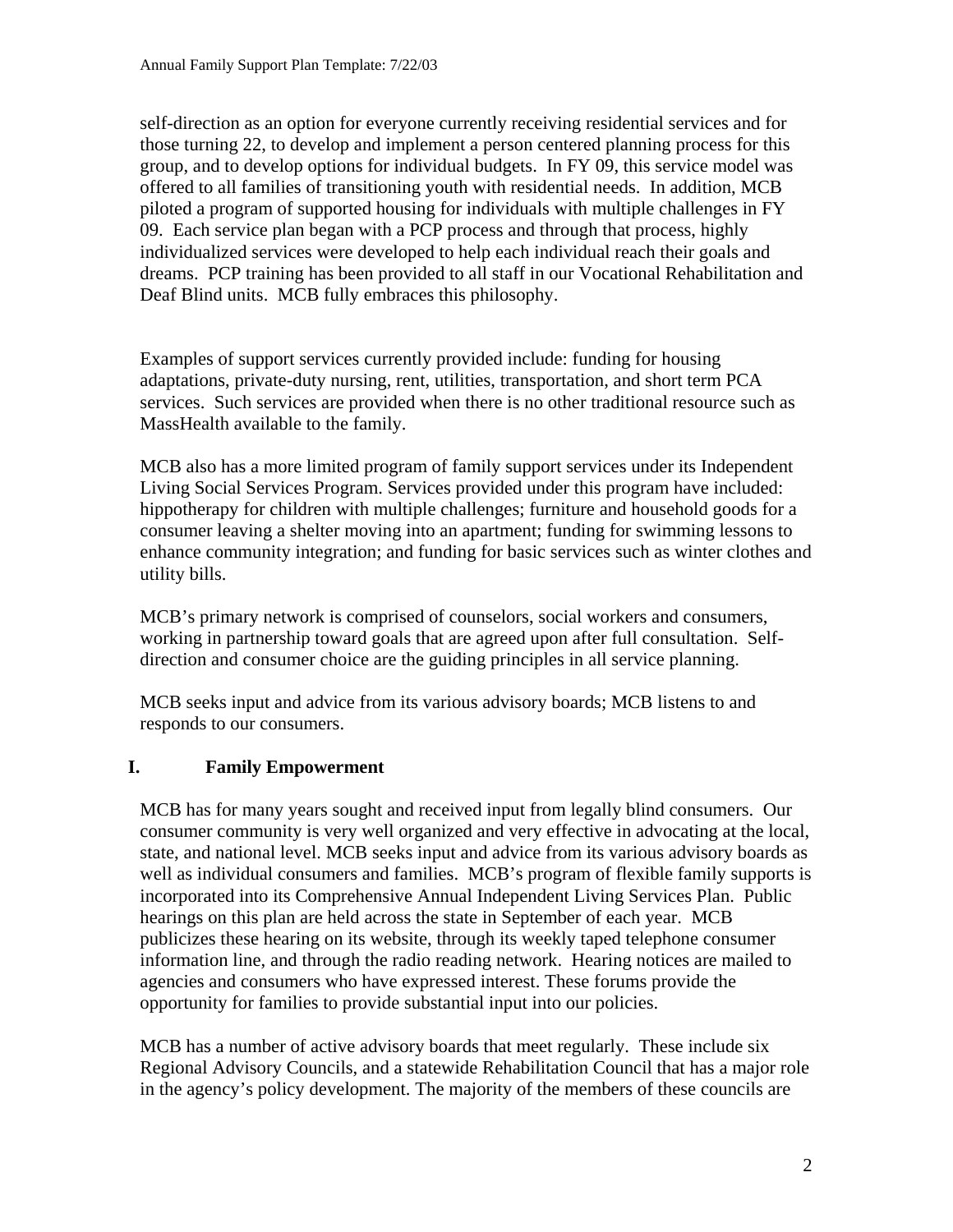self-direction as an option for everyone currently receiving residential services and for those turning 22, to develop and implement a person centered planning process for this group, and to develop options for individual budgets. In FY 09, this service model was offered to all families of transitioning youth with residential needs. In addition, MCB piloted a program of supported housing for individuals with multiple challenges in FY 09. Each service plan began with a PCP process and through that process, highly individualized services were developed to help each individual reach their goals and dreams. PCP training has been provided to all staff in our Vocational Rehabilitation and Deaf Blind units. MCB fully embraces this philosophy.

Examples of support services currently provided include: funding for housing adaptations, private-duty nursing, rent, utilities, transportation, and short term PCA services. Such services are provided when there is no other traditional resource such as MassHealth available to the family.

MCB also has a more limited program of family support services under its Independent Living Social Services Program. Services provided under this program have included: hippotherapy for children with multiple challenges; furniture and household goods for a consumer leaving a shelter moving into an apartment; funding for swimming lessons to enhance community integration; and funding for basic services such as winter clothes and utility bills.

MCB's primary network is comprised of counselors, social workers and consumers, working in partnership toward goals that are agreed upon after full consultation. Selfdirection and consumer choice are the guiding principles in all service planning.

MCB seeks input and advice from its various advisory boards; MCB listens to and responds to our consumers.

# **I. Family Empowerment**

MCB has for many years sought and received input from legally blind consumers. Our consumer community is very well organized and very effective in advocating at the local, state, and national level. MCB seeks input and advice from its various advisory boards as well as individual consumers and families. MCB's program of flexible family supports is incorporated into its Comprehensive Annual Independent Living Services Plan. Public hearings on this plan are held across the state in September of each year. MCB publicizes these hearing on its website, through its weekly taped telephone consumer information line, and through the radio reading network. Hearing notices are mailed to agencies and consumers who have expressed interest. These forums provide the opportunity for families to provide substantial input into our policies.

MCB has a number of active advisory boards that meet regularly. These include six Regional Advisory Councils, and a statewide Rehabilitation Council that has a major role in the agency's policy development. The majority of the members of these councils are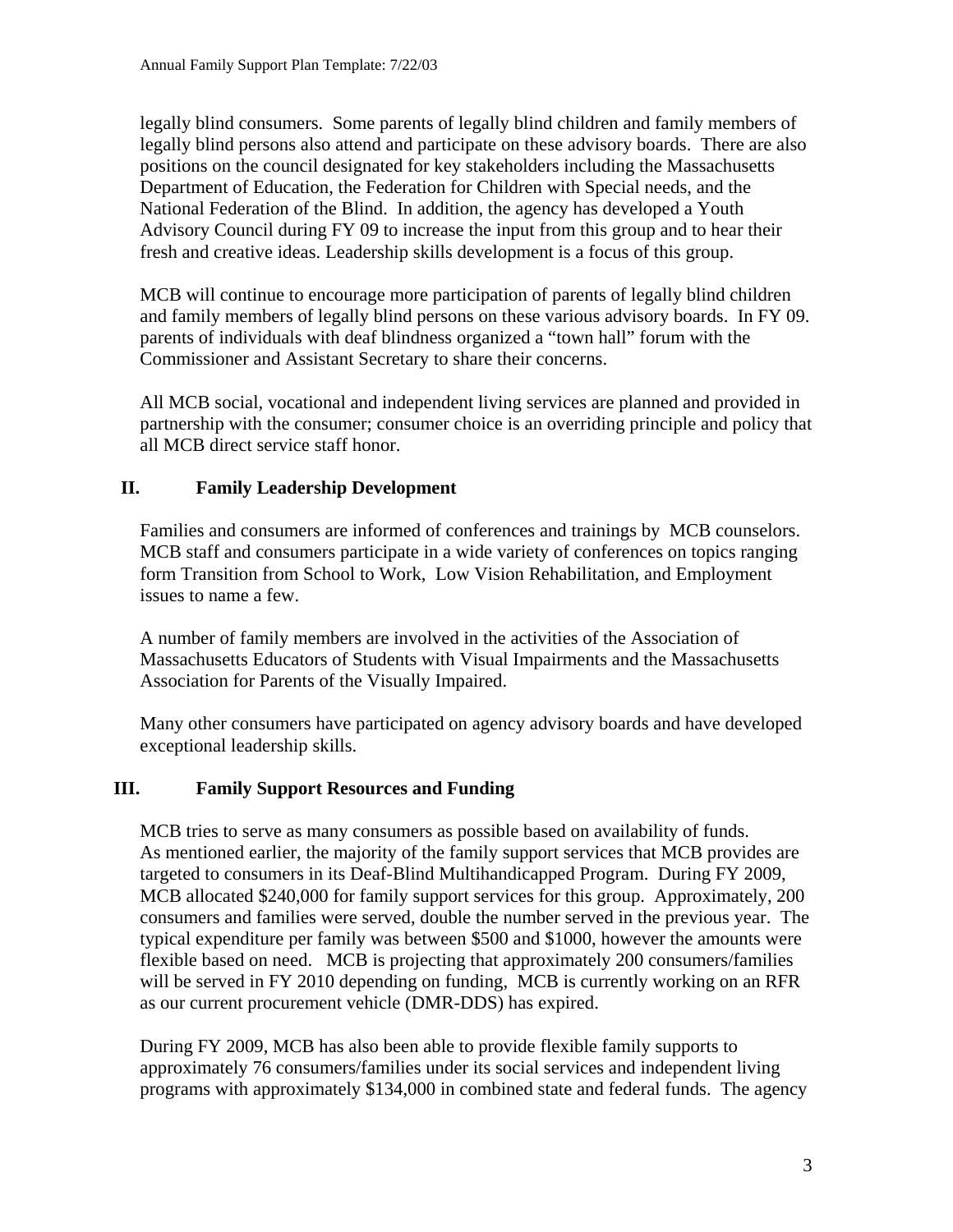legally blind consumers. Some parents of legally blind children and family members of legally blind persons also attend and participate on these advisory boards. There are also positions on the council designated for key stakeholders including the Massachusetts Department of Education, the Federation for Children with Special needs, and the National Federation of the Blind. In addition, the agency has developed a Youth Advisory Council during FY 09 to increase the input from this group and to hear their fresh and creative ideas. Leadership skills development is a focus of this group.

MCB will continue to encourage more participation of parents of legally blind children and family members of legally blind persons on these various advisory boards. In FY 09. parents of individuals with deaf blindness organized a "town hall" forum with the Commissioner and Assistant Secretary to share their concerns.

All MCB social, vocational and independent living services are planned and provided in partnership with the consumer; consumer choice is an overriding principle and policy that all MCB direct service staff honor.

# **II. Family Leadership Development**

Families and consumers are informed of conferences and trainings by MCB counselors. MCB staff and consumers participate in a wide variety of conferences on topics ranging form Transition from School to Work, Low Vision Rehabilitation, and Employment issues to name a few.

A number of family members are involved in the activities of the Association of Massachusetts Educators of Students with Visual Impairments and the Massachusetts Association for Parents of the Visually Impaired.

Many other consumers have participated on agency advisory boards and have developed exceptional leadership skills.

# **III. Family Support Resources and Funding**

MCB tries to serve as many consumers as possible based on availability of funds. As mentioned earlier, the majority of the family support services that MCB provides are targeted to consumers in its Deaf-Blind Multihandicapped Program. During FY 2009, MCB allocated \$240,000 for family support services for this group. Approximately, 200 consumers and families were served, double the number served in the previous year. The typical expenditure per family was between \$500 and \$1000, however the amounts were flexible based on need. MCB is projecting that approximately 200 consumers/families will be served in FY 2010 depending on funding, MCB is currently working on an RFR as our current procurement vehicle (DMR-DDS) has expired.

During FY 2009, MCB has also been able to provide flexible family supports to approximately 76 consumers/families under its social services and independent living programs with approximately \$134,000 in combined state and federal funds. The agency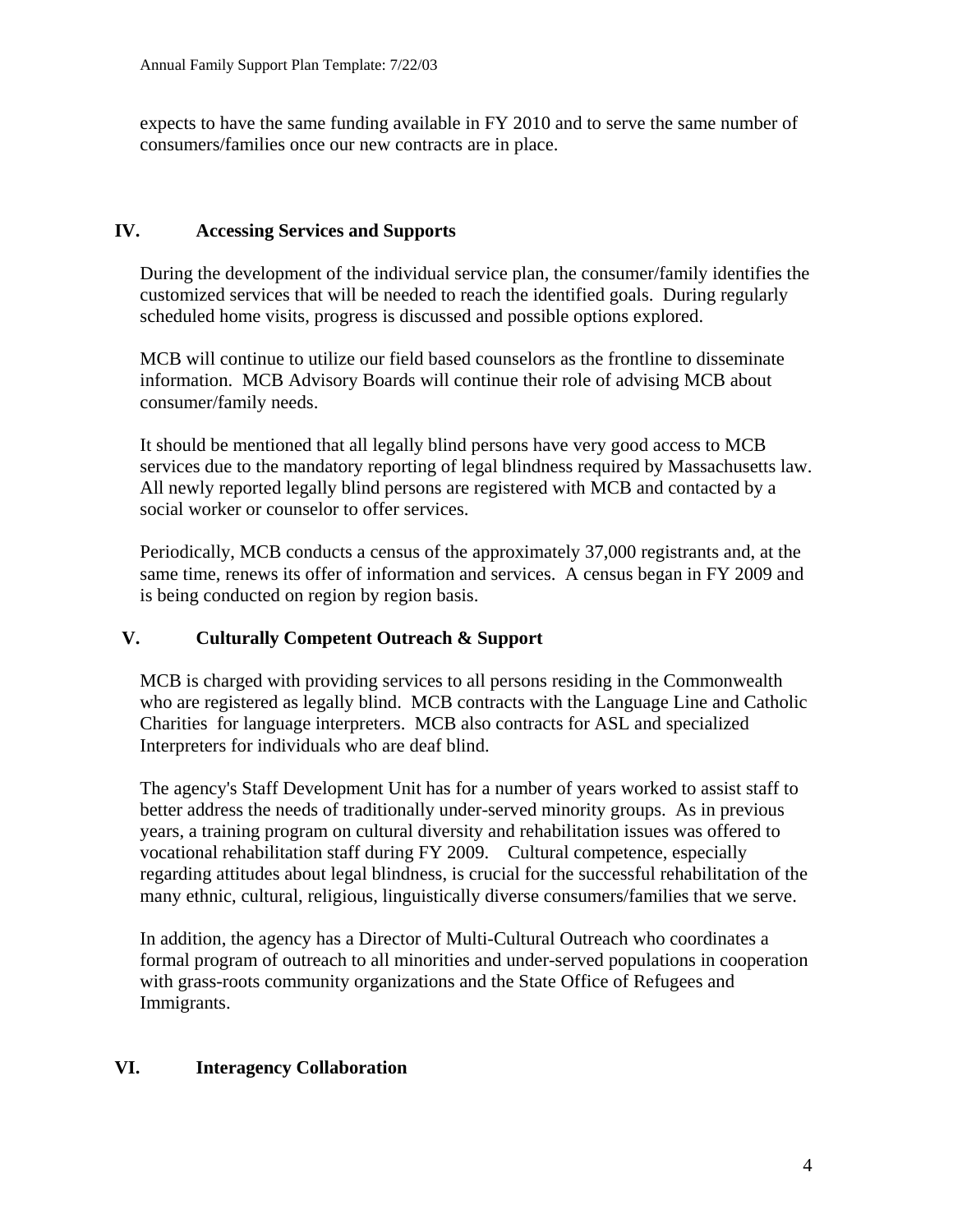expects to have the same funding available in FY 2010 and to serve the same number of consumers/families once our new contracts are in place.

### **IV. Accessing Services and Supports**

During the development of the individual service plan, the consumer/family identifies the customized services that will be needed to reach the identified goals. During regularly scheduled home visits, progress is discussed and possible options explored.

MCB will continue to utilize our field based counselors as the frontline to disseminate information. MCB Advisory Boards will continue their role of advising MCB about consumer/family needs.

It should be mentioned that all legally blind persons have very good access to MCB services due to the mandatory reporting of legal blindness required by Massachusetts law. All newly reported legally blind persons are registered with MCB and contacted by a social worker or counselor to offer services.

Periodically, MCB conducts a census of the approximately 37,000 registrants and, at the same time, renews its offer of information and services. A census began in FY 2009 and is being conducted on region by region basis.

# **V. Culturally Competent Outreach & Support**

MCB is charged with providing services to all persons residing in the Commonwealth who are registered as legally blind. MCB contracts with the Language Line and Catholic Charities for language interpreters. MCB also contracts for ASL and specialized Interpreters for individuals who are deaf blind.

The agency's Staff Development Unit has for a number of years worked to assist staff to better address the needs of traditionally under-served minority groups. As in previous years, a training program on cultural diversity and rehabilitation issues was offered to vocational rehabilitation staff during FY 2009. Cultural competence, especially regarding attitudes about legal blindness, is crucial for the successful rehabilitation of the many ethnic, cultural, religious, linguistically diverse consumers/families that we serve.

In addition, the agency has a Director of Multi-Cultural Outreach who coordinates a formal program of outreach to all minorities and under-served populations in cooperation with grass-roots community organizations and the State Office of Refugees and Immigrants.

# **VI. Interagency Collaboration**